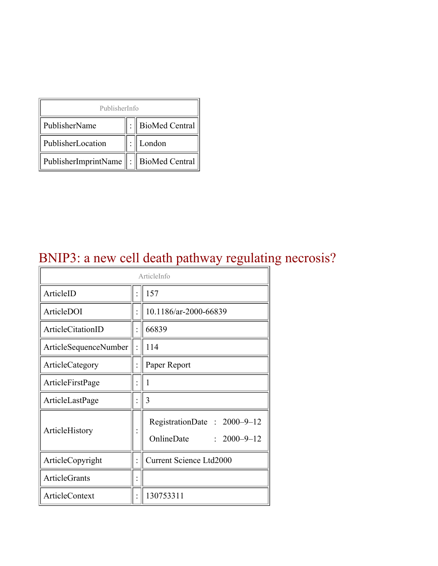| PublisherInfo                              |  |                  |  |  |
|--------------------------------------------|--|------------------|--|--|
| PublisherName                              |  | : BioMed Central |  |  |
| PublisherLocation                          |  | London           |  |  |
| PublisherImprintName   :    BioMed Central |  |                  |  |  |

## BNIP3: a new cell death pathway regulating necrosis?

| ArticleInfo           |  |                                                      |  |
|-----------------------|--|------------------------------------------------------|--|
| ArticleID             |  | 157                                                  |  |
| ArticleDOI            |  | 10.1186/ar-2000-66839                                |  |
| ArticleCitationID     |  | 66839                                                |  |
| ArticleSequenceNumber |  | 114                                                  |  |
| ArticleCategory       |  | Paper Report                                         |  |
| ArticleFirstPage      |  | 1                                                    |  |
| ArticleLastPage       |  | 3                                                    |  |
| ArticleHistory        |  | RegistrationDate: 2000-9-12<br>OnlineDate: 2000-9-12 |  |
| ArticleCopyright      |  | <b>Current Science Ltd2000</b>                       |  |
| <b>ArticleGrants</b>  |  |                                                      |  |
| <b>ArticleContext</b> |  | 130753311                                            |  |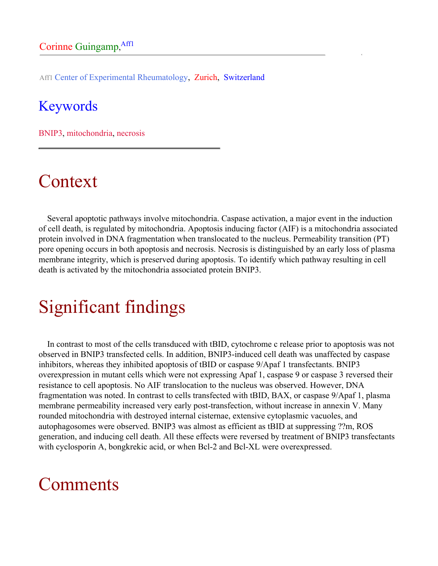Aff1 Center of Experimental Rheumatology, Zurich, Switzerland

#### Keywords

BNIP3, mitochondria, necrosis

## Context

Several apoptotic pathways involve mitochondria. Caspase activation, a major event in the induction of cell death, is regulated by mitochondria. Apoptosis inducing factor (AIF) is a mitochondria associated protein involved in DNA fragmentation when translocated to the nucleus. Permeability transition (PT) pore opening occurs in both apoptosis and necrosis. Necrosis is distinguished by an early loss of plasma membrane integrity, which is preserved during apoptosis. To identify which pathway resulting in cell death is activated by the mitochondria associated protein BNIP3.

# Significant findings

In contrast to most of the cells transduced with tBID, cytochrome c release prior to apoptosis was not observed in BNIP3 transfected cells. In addition, BNIP3-induced cell death was unaffected by caspase inhibitors, whereas they inhibited apoptosis of tBID or caspase 9/Apaf 1 transfectants. BNIP3 overexpression in mutant cells which were not expressing Apaf 1, caspase 9 or caspase 3 reversed their resistance to cell apoptosis. No AIF translocation to the nucleus was observed. However, DNA fragmentation was noted. In contrast to cells transfected with tBID, BAX, or caspase 9/Apaf 1, plasma membrane permeability increased very early post-transfection, without increase in annexin V. Many rounded mitochondria with destroyed internal cisternae, extensive cytoplasmic vacuoles, and autophagosomes were observed. BNIP3 was almost as efficient as tBID at suppressing ??m, ROS generation, and inducing cell death. All these effects were reversed by treatment of BNIP3 transfectants with cyclosporin A, bongkrekic acid, or when Bcl-2 and Bcl-XL were overexpressed.

## Comments